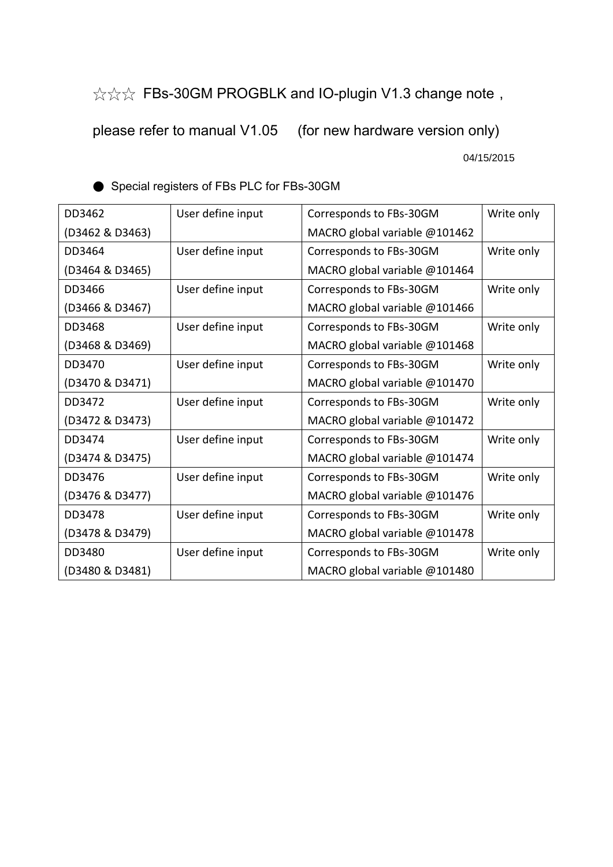☆☆☆ FBs-30GM PROGBLK and IO-plugin V1.3 change note,

please refer to manual V1.05 (for new hardware version only)

04/15/2015

| DD3462          | User define input | Corresponds to FBs-30GM       | Write only |
|-----------------|-------------------|-------------------------------|------------|
| (D3462 & D3463) |                   | MACRO global variable @101462 |            |
| DD3464          | User define input | Corresponds to FBs-30GM       | Write only |
| (D3464 & D3465) |                   | MACRO global variable @101464 |            |
| DD3466          | User define input | Corresponds to FBs-30GM       | Write only |
| (D3466 & D3467) |                   | MACRO global variable @101466 |            |
| DD3468          | User define input | Corresponds to FBs-30GM       | Write only |
| (D3468 & D3469) |                   | MACRO global variable @101468 |            |
| DD3470          | User define input | Corresponds to FBs-30GM       | Write only |
| (D3470 & D3471) |                   | MACRO global variable @101470 |            |
| DD3472          | User define input | Corresponds to FBs-30GM       | Write only |
| (D3472 & D3473) |                   | MACRO global variable @101472 |            |
| DD3474          | User define input | Corresponds to FBs-30GM       | Write only |
| (D3474 & D3475) |                   | MACRO global variable @101474 |            |
| DD3476          | User define input | Corresponds to FBs-30GM       | Write only |
| (D3476 & D3477) |                   | MACRO global variable @101476 |            |
| DD3478          | User define input | Corresponds to FBs-30GM       | Write only |
| (D3478 & D3479) |                   | MACRO global variable @101478 |            |
| DD3480          | User define input | Corresponds to FBs-30GM       | Write only |
| (D3480 & D3481) |                   | MACRO global variable @101480 |            |

● Special registers of FBs PLC for FBs-30GM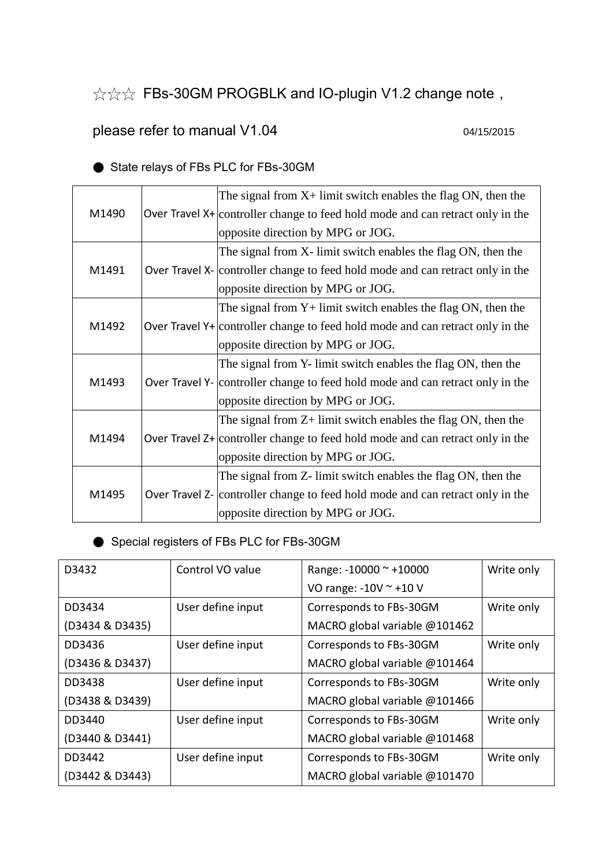☆☆☆ FBs-30GM PROGBLK and IO-plugin V1.2 change note,

## please refer to manual V1.04 04/15/2015

|       |  | The signal from $X$ + limit switch enables the flag ON, then the                 |  |
|-------|--|----------------------------------------------------------------------------------|--|
| M1490 |  | Over Travel X+ controller change to feed hold mode and can retract only in the   |  |
|       |  | opposite direction by MPG or JOG.                                                |  |
|       |  | The signal from X- limit switch enables the flag ON, then the                    |  |
| M1491 |  | Over Travel X- controller change to feed hold mode and can retract only in the   |  |
|       |  | opposite direction by MPG or JOG.                                                |  |
|       |  | The signal from $Y$ + limit switch enables the flag ON, then the                 |  |
| M1492 |  | Over Travel $Y+$ controller change to feed hold mode and can retract only in the |  |
|       |  | opposite direction by MPG or JOG.                                                |  |
|       |  |                                                                                  |  |
|       |  | The signal from Y- limit switch enables the flag ON, then the                    |  |
| M1493 |  | Over Travel Y- controller change to feed hold mode and can retract only in the   |  |
|       |  | opposite direction by MPG or JOG.                                                |  |
|       |  | The signal from $Z$ + limit switch enables the flag ON, then the                 |  |
| M1494 |  | Over Travel $Z+$ controller change to feed hold mode and can retract only in the |  |
|       |  | opposite direction by MPG or JOG.                                                |  |
|       |  | The signal from Z- limit switch enables the flag ON, then the                    |  |
| M1495 |  | Over Travel Z- controller change to feed hold mode and can retract only in the   |  |

● State relays of FBs PLC for FBs-30GM

## ● Special registers of FBs PLC for FBs-30GM

| D3432           | Control VO value  | Range: $-10000 \approx +10000$ | Write only |
|-----------------|-------------------|--------------------------------|------------|
|                 |                   | VO range: $-10V \approx +10V$  |            |
| DD3434          | User define input | Corresponds to FBs-30GM        | Write only |
| (D3434 & D3435) |                   | MACRO global variable @101462  |            |
| DD3436          | User define input | Corresponds to FBs-30GM        | Write only |
| (D3436 & D3437) |                   | MACRO global variable @101464  |            |
| DD3438          | User define input | Corresponds to FBs-30GM        | Write only |
| (D3438 & D3439) |                   | MACRO global variable @101466  |            |
| DD3440          | User define input | Corresponds to FBs-30GM        | Write only |
| (D3440 & D3441) |                   | MACRO global variable @101468  |            |
| DD3442          | User define input | Corresponds to FBs-30GM        | Write only |
| (D3442 & D3443) |                   | MACRO global variable @101470  |            |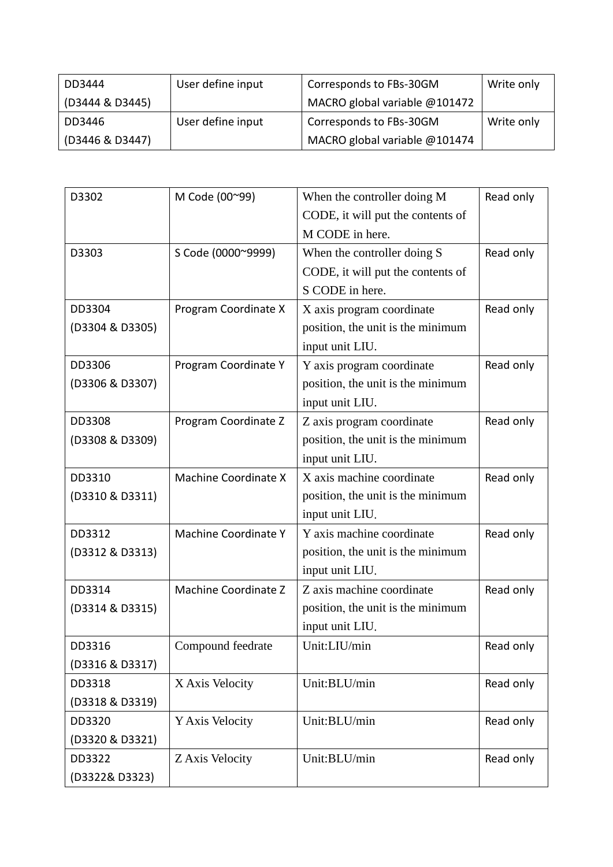| DD3444          | User define input | Corresponds to FBs-30GM       | Write only |
|-----------------|-------------------|-------------------------------|------------|
| (D3444 & D3445) |                   | MACRO global variable @101472 |            |
| DD3446          | User define input | Corresponds to FBs-30GM       | Write only |
| (D3446 & D3447) |                   | MACRO global variable @101474 |            |

| D3302           | M Code (00~99)       | When the controller doing M       | Read only |
|-----------------|----------------------|-----------------------------------|-----------|
|                 |                      | CODE, it will put the contents of |           |
|                 |                      | M CODE in here.                   |           |
| D3303           | S Code (0000~9999)   | When the controller doing S       | Read only |
|                 |                      | CODE, it will put the contents of |           |
|                 |                      | S CODE in here.                   |           |
| DD3304          | Program Coordinate X | X axis program coordinate         | Read only |
| (D3304 & D3305) |                      | position, the unit is the minimum |           |
|                 |                      | input unit LIU.                   |           |
| DD3306          | Program Coordinate Y | Y axis program coordinate         | Read only |
| (D3306 & D3307) |                      | position, the unit is the minimum |           |
|                 |                      | input unit LIU.                   |           |
| DD3308          | Program Coordinate Z | Z axis program coordinate         | Read only |
| (D3308 & D3309) |                      | position, the unit is the minimum |           |
|                 |                      | input unit LIU.                   |           |
| DD3310          | Machine Coordinate X | X axis machine coordinate         | Read only |
| (D3310 & D3311) |                      | position, the unit is the minimum |           |
|                 |                      | input unit LIU.                   |           |
| DD3312          | Machine Coordinate Y | Y axis machine coordinate         | Read only |
| (D3312 & D3313) |                      | position, the unit is the minimum |           |
|                 |                      | input unit LIU.                   |           |
| DD3314          | Machine Coordinate Z | Z axis machine coordinate         | Read only |
| (D3314 & D3315) |                      | position, the unit is the minimum |           |
|                 |                      | input unit LIU.                   |           |
| DD3316          | Compound feedrate    | Unit:LIU/min                      | Read only |
| (D3316 & D3317) |                      |                                   |           |
| DD3318          | X Axis Velocity      | Unit:BLU/min                      | Read only |
| (D3318 & D3319) |                      |                                   |           |
| DD3320          | Y Axis Velocity      | Unit:BLU/min                      | Read only |
| (D3320 & D3321) |                      |                                   |           |
| DD3322          | Z Axis Velocity      | Unit:BLU/min                      | Read only |
| (D3322& D3323)  |                      |                                   |           |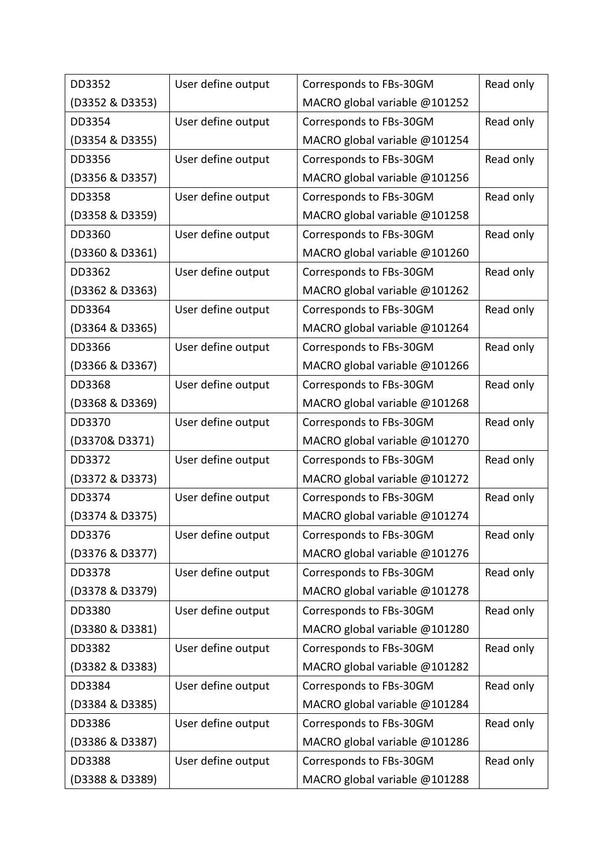| DD3352          | User define output | Corresponds to FBs-30GM       | Read only |
|-----------------|--------------------|-------------------------------|-----------|
| (D3352 & D3353) |                    | MACRO global variable @101252 |           |
| DD3354          | User define output | Corresponds to FBs-30GM       | Read only |
| (D3354 & D3355) |                    | MACRO global variable @101254 |           |
| DD3356          | User define output | Corresponds to FBs-30GM       | Read only |
| (D3356 & D3357) |                    | MACRO global variable @101256 |           |
| DD3358          | User define output | Corresponds to FBs-30GM       | Read only |
| (D3358 & D3359) |                    | MACRO global variable @101258 |           |
| DD3360          | User define output | Corresponds to FBs-30GM       | Read only |
| (D3360 & D3361) |                    | MACRO global variable @101260 |           |
| DD3362          | User define output | Corresponds to FBs-30GM       | Read only |
| (D3362 & D3363) |                    | MACRO global variable @101262 |           |
| DD3364          | User define output | Corresponds to FBs-30GM       | Read only |
| (D3364 & D3365) |                    | MACRO global variable @101264 |           |
| DD3366          | User define output | Corresponds to FBs-30GM       | Read only |
| (D3366 & D3367) |                    | MACRO global variable @101266 |           |
| DD3368          | User define output | Corresponds to FBs-30GM       | Read only |
| (D3368 & D3369) |                    | MACRO global variable @101268 |           |
| DD3370          | User define output | Corresponds to FBs-30GM       | Read only |
| (D3370& D3371)  |                    | MACRO global variable @101270 |           |
| DD3372          | User define output | Corresponds to FBs-30GM       | Read only |
| (D3372 & D3373) |                    | MACRO global variable @101272 |           |
| DD3374          | User define output | Corresponds to FBs-30GM       | Read only |
| (D3374 & D3375) |                    | MACRO global variable @101274 |           |
| DD3376          | User define output | Corresponds to FBs-30GM       | Read only |
| (D3376 & D3377) |                    | MACRO global variable @101276 |           |
| DD3378          | User define output | Corresponds to FBs-30GM       | Read only |
| (D3378 & D3379) |                    | MACRO global variable @101278 |           |
| DD3380          | User define output | Corresponds to FBs-30GM       | Read only |
| (D3380 & D3381) |                    | MACRO global variable @101280 |           |
| DD3382          | User define output | Corresponds to FBs-30GM       | Read only |
| (D3382 & D3383) |                    | MACRO global variable @101282 |           |
| DD3384          | User define output | Corresponds to FBs-30GM       | Read only |
| (D3384 & D3385) |                    | MACRO global variable @101284 |           |
| DD3386          | User define output | Corresponds to FBs-30GM       | Read only |
| (D3386 & D3387) |                    | MACRO global variable @101286 |           |
| DD3388          | User define output | Corresponds to FBs-30GM       | Read only |
| (D3388 & D3389) |                    | MACRO global variable @101288 |           |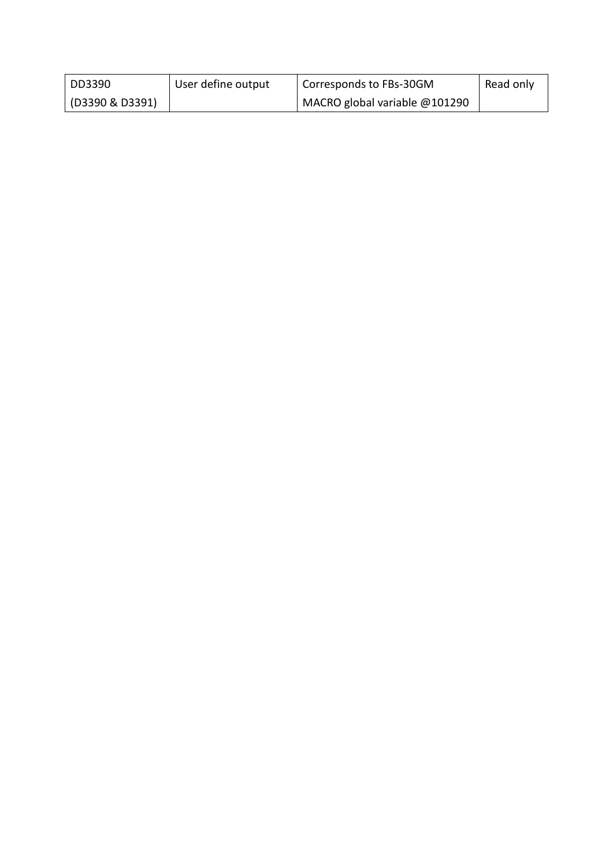| DD3390          | User define output | Corresponds to FBs-30GM       | Read only |
|-----------------|--------------------|-------------------------------|-----------|
| (D3390 & D3391) |                    | MACRO global variable @101290 |           |